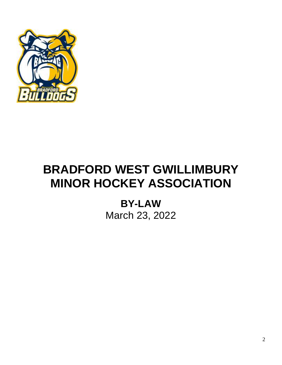

# **BRADFORD WEST GWILLIMBURY MINOR HOCKEY ASSOCIATION**

**BY-LAW** March 23, 2022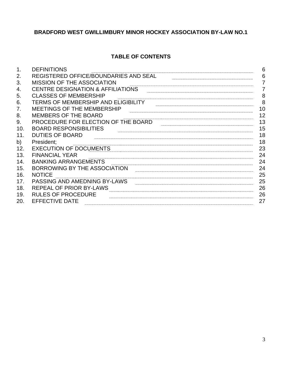# **BRADFORD WEST GWILLIMBURY MINOR HOCKEY ASSOCIATION BY-LAW NO.1**

# **TABLE OF CONTENTS**

| 1.  | <b>DEFINITIONS</b>                           | 6  |
|-----|----------------------------------------------|----|
| 2.  | <b>REGISTERED OFFICE/BOUNDARIES AND SEAL</b> | 6  |
| 3.  | <b>MISSION OF THE ASSOCIATION</b>            | 7  |
| 4.  | <b>CENTRE DESIGNATION &amp; AFFILIATIONS</b> | 7  |
| 5.  | <b>CLASSES OF MEMBERSHIP</b>                 | 8  |
| 6.  | <b>TERMS OF MEMBERSHIP AND ELIGIBILITY</b>   | 8  |
| 7.  | MEETINGS OF THE MEMBERSHIP                   | 10 |
| 8.  | MEMBERS OF THE BOARD                         | 12 |
| 9.  | PROCEDURE FOR ELECTION OF THE BOARD          | 13 |
| 10. | <b>BOARD RESPONSIBILITIES</b>                | 15 |
| 11. | <b>DUTIES OF BOARD</b>                       | 18 |
| b)  | President:                                   | 18 |
| 12. | <b>EXECUTION OF DOCUMENTS</b>                | 23 |
| 13. | <b>FINANCIAL YEAR</b>                        | 24 |
| 14. | <b>BANKING ARRANGEMENTS</b>                  | 24 |
| 15. | BORROWING BY THE ASSOCIATION                 | 24 |
| 16. | <b>NOTICE</b>                                | 25 |
| 17. | PASSING AND AMEDNING BY-LAWS                 | 25 |
| 18. | <b>REPEAL OF PRIOR BY-LAWS</b>               | 26 |
| 19. | <b>RULES OF PROCEDURE</b>                    | 26 |
| 20. | <b>EFFECTIVE DATE</b>                        | 27 |
|     |                                              |    |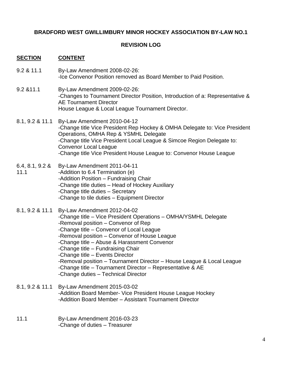# **BRADFORD WEST GWILLIMBURY MINOR HOCKEY ASSOCIATION BY-LAW NO.1**

# **REVISION LOG**

## **SECTION CONTENT**

- 9.2 & 11.1 By-Law Amendment 2008-02-26: -Ice Convenor Position removed as Board Member to Paid Position.
- 9.2 &11.1 By-Law Amendment 2009-02-26: -Changes to Tournament Director Position, Introduction of a: Representative & AE Tournament Director House League & Local League Tournament Director.
- 8.1, 9.2 & 11.1 By-Law Amendment 2010-04-12 -Change title Vice President Rep Hockey & OMHA Delegate to: Vice President Operations, OMHA Rep & YSMHL Delegate -Change title Vice President Local League & Simcoe Region Delegate to: Convenor Local League -Change title Vice President House League to: Convenor House League
- 6.4, 8.1, 9.2 & 11.1 By-Law Amendment 2011-04-11 -Addition to 6.4 Termination (e) -Addition Position – Fundraising Chair -Change title duties – Head of Hockey Auxiliary -Change title duties – Secretary -Change to tile duties – Equipment Director
- 8.1, 9.2 & 11.1 By-Law Amendment 2012-04-02 -Change title – Vice President Operations – OMHA/YSMHL Delegate -Removal position – Convenor of Rep -Change title – Convenor of Local League -Removal position – Convenor of House League -Change title – Abuse & Harassment Convenor -Change title – Fundraising Chair -Change title – Events Director -Removal position – Tournament Director – House League & Local League -Change title – Tournament Director – Representative & AE -Change duties – Technical Director
- 8.1, 9.2 & 11.1 By-Law Amendment 2015-03-02 -Addition Board Member- Vice President House League Hockey -Addition Board Member – Assistant Tournament Director
- 11.1 By-Law Amendment 2016-03-23 -Change of duties – Treasurer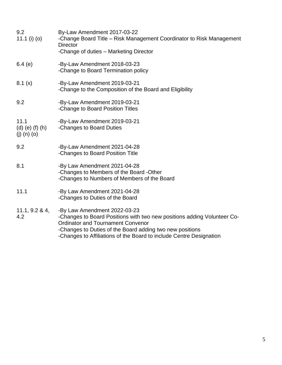| 9.2<br>11.1 (i) (o)                      | By-Law Amendment 2017-03-22<br>-Change Board Title - Risk Management Coordinator to Risk Management<br><b>Director</b><br>-Change of duties - Marketing Director                                                                                                                       |
|------------------------------------------|----------------------------------------------------------------------------------------------------------------------------------------------------------------------------------------------------------------------------------------------------------------------------------------|
| 6.4(e)                                   | -By-Law Amendment 2018-03-23<br>-Change to Board Termination policy                                                                                                                                                                                                                    |
| 8.1(x)                                   | -By-Law Amendment 2019-03-21<br>-Change to the Composition of the Board and Eligibility                                                                                                                                                                                                |
| 9.2                                      | -By-Law Amendment 2019-03-21<br>-Change to Board Position Titles                                                                                                                                                                                                                       |
| 11.1<br>(d) (e) (f) (h)<br>$(j)$ (n) (o) | -By-Law Amendment 2019-03-21<br>-Changes to Board Duties                                                                                                                                                                                                                               |
| 9.2                                      | -By-Law Amendment 2021-04-28<br>-Changes to Board Position Title                                                                                                                                                                                                                       |
| 8.1                                      | -By Law Amendment 2021-04-28<br>-Changes to Members of the Board -Other<br>-Changes to Numbers of Members of the Board                                                                                                                                                                 |
| 11.1                                     | -By Law Amendment 2021-04-28<br>-Changes to Duties of the Board                                                                                                                                                                                                                        |
| 11.1, 9.2 & 4,<br>4.2                    | -By Law Amendment 2022-03-23<br>-Changes to Board Positions with two new positions adding Volunteer Co-<br><b>Ordinator and Tournament Convenor</b><br>-Changes to Duties of the Board adding two new positions<br>-Changes to Affiliations of the Board to include Centre Designation |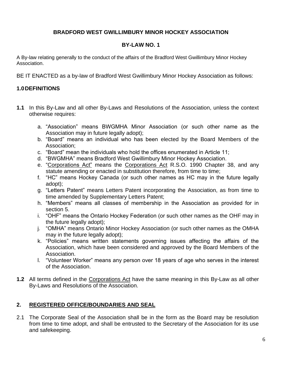# **BRADFORD WEST GWILLIMBURY MINOR HOCKEY ASSOCIATION**

# **BY-LAW NO. 1**

A By-law relating generally to the conduct of the affairs of the Bradford West Gwillimbury Minor Hockey Association.

BE IT ENACTED as a by-law of Bradford West Gwillimbury Minor Hockey Association as follows:

# **1.0DEFINITIONS**

- **1.1** In this By-Law and all other By-Laws and Resolutions of the Association, unless the context otherwise requires:
	- a. "Association" means BWGMHA Minor Association (or such other name as the Association may in future legally adopt);
	- b. "Board" means an individual who has been elected by the Board Members of the Association;
	- c. "Board" mean the individuals who hold the offices enumerated in Article 11;
	- d. "BWGMHA" means Bradford West Gwillimbury Minor Hockey Association.
	- e. "Corporations Act" means the Corporations Act R.S.O. 1990 Chapter 38, and any statute amending or enacted in substitution therefore, from time to time;
	- f. "HC" means Hockey Canada (or such other names as HC may in the future legally adopt);
	- g. "Letters Patent" means Letters Patent incorporating the Association, as from time to time amended by Supplementary Letters Patent;
	- h. "Members" means all classes of membership in the Association as provided for in section 5.
	- i. "OHF" means the Ontario Hockey Federation (or such other names as the OHF may in the future legally adopt);
	- j. "OMHA" means Ontario Minor Hockey Association (or such other names as the OMHA may in the future legally adopt);
	- k. "Policies" means written statements governing issues affecting the affairs of the Association, which have been considered and approved by the Board Members of the Association.
	- l. "Volunteer Worker" means any person over 18 years of age who serves in the interest of the Association.
- **1.2** All terms defined in the Corporations Act have the same meaning in this By-Law as all other By-Laws and Resolutions of the Association.

# **2. REGISTERED OFFICE/BOUNDARIES AND SEAL**

2.1 The Corporate Seal of the Association shall be in the form as the Board may be resolution from time to time adopt, and shall be entrusted to the Secretary of the Association for its use and safekeeping.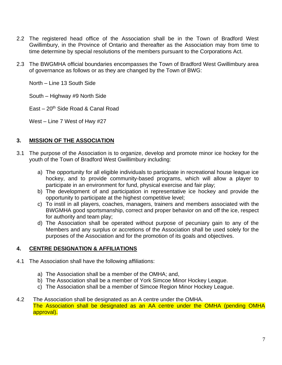- 2.2 The registered head office of the Association shall be in the Town of Bradford West Gwillimbury, in the Province of Ontario and thereafter as the Association may from time to time determine by special resolutions of the members pursuant to the Corporations Act.
- 2.3 The BWGMHA official boundaries encompasses the Town of Bradford West Gwillimbury area of governance as follows or as they are changed by the Town of BWG:

North – Line 13 South Side

South – Highway #9 North Side

East –  $20<sup>th</sup>$  Side Road & Canal Road

West – Line 7 West of Hwy #27

# **3. MISSION OF THE ASSOCIATION**

- 3.1 The purpose of the Association is to organize, develop and promote minor ice hockey for the youth of the Town of Bradford West Gwillimbury including:
	- a) The opportunity for all eligible individuals to participate in recreational house league ice hockey, and to provide community-based programs, which will allow a player to participate in an environment for fund, physical exercise and fair play;
	- b) The development of and participation in representative ice hockey and provide the opportunity to participate at the highest competitive level;
	- c) To instil in all players, coaches, managers, trainers and members associated with the BWGMHA good sportsmanship, correct and proper behavior on and off the ice, respect for authority and team play;
	- d) The Association shall be operated without purpose of pecuniary gain to any of the Members and any surplus or accretions of the Association shall be used solely for the purposes of the Association and for the promotion of its goals and objectives.

# **4. CENTRE DESIGNATION & AFFILIATIONS**

- 4.1 The Association shall have the following affiliations:
	- a) The Association shall be a member of the OMHA; and,
	- b) The Association shall be a member of York Simcoe Minor Hockey League.
	- c) The Association shall be a member of Simcoe Region Minor Hockey League.
- 4.2 The Association shall be designated as an A centre under the OMHA. The Association shall be designated as an AA centre under the OMHA (pending OMHA approval).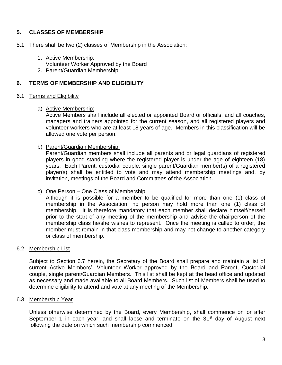# **5. CLASSES OF MEMBERSHIP**

- 5.1 There shall be two (2) classes of Membership in the Association:
	- 1. Active Membership;
		- Volunteer Worker Approved by the Board
	- 2. Parent/Guardian Membership;

# **6. TERMS OF MEMBERSHIP AND ELIGIBILITY**

## 6.1 Terms and Eligibility

## a) Active Membership:

Active Members shall include all elected or appointed Board or officials, and all coaches, managers and trainers appointed for the current season, and all registered players and volunteer workers who are at least 18 years of age. Members in this classification will be allowed one vote per person.

# b) Parent/Guardian Membership:

Parent/Guardian members shall include all parents and or legal guardians of registered players in good standing where the registered player is under the age of eighteen (18) years. Each Parent, custodial couple, single parent/Guardian member(s) of a registered player(s) shall be entitled to vote and may attend membership meetings and, by invitation, meetings of the Board and Committees of the Association.

## c) One Person – One Class of Membership:

Although it is possible for a member to be qualified for more than one (1) class of membership in the Association, no person may hold more than one (1) class of membership. It is therefore mandatory that each member shall declare himself/herself prior to the start of any meeting of the membership and advise the chairperson of the membership class he/she wishes to represent. Once the meeting is called to order, the member must remain in that class membership and may not change to another category or class of membership.

## 6.2 Membership List

Subject to Section 6.7 herein, the Secretary of the Board shall prepare and maintain a list of current Active Members', Volunteer Worker approved by the Board and Parent, Custodial couple, single parent/Guardian Members. This list shall be kept at the head office and updated as necessary and made available to all Board Members. Such list of Members shall be used to determine eligibility to attend and vote at any meeting of the Membership.

## 6.3 Membership Year

Unless otherwise determined by the Board, every Membership, shall commence on or after September 1 in each year, and shall lapse and terminate on the  $31<sup>st</sup>$  day of August next following the date on which such membership commenced.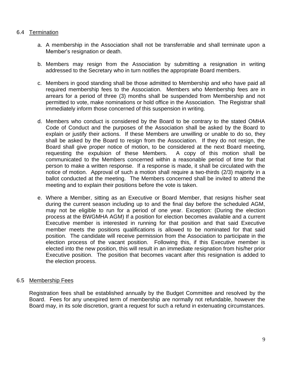# 6.4 Termination

- a. A membership in the Association shall not be transferrable and shall terminate upon a Member's resignation or death.
- b. Members may resign from the Association by submitting a resignation in writing addressed to the Secretary who in turn notifies the appropriate Board members.
- c. Members in good standing shall be those admitted to Membership and who have paid all required membership fees to the Association. Members who Membership fees are in arrears for a period of three (3) months shall be suspended from Membership and not permitted to vote, make nominations or hold office in the Association. The Registrar shall immediately inform those concerned of this suspension in writing.
- d. Members who conduct is considered by the Board to be contrary to the stated OMHA Code of Conduct and the purposes of the Association shall be asked by the Board to explain or justify their actions. If these Members are unwilling or unable to do so, they shall be asked by the Board to resign from the Association. If they do not resign, the Board shall give proper notice of motion, to be considered at the next Board meeting, requesting the expulsion of these Members. A copy of this motion shall be communicated to the Members concerned within a reasonable period of time for that person to make a written response. If a response is made, it shall be circulated with the notice of motion. Approval of such a motion shall require a two-thirds (2/3) majority in a ballot conducted at the meeting. The Members concerned shall be invited to attend the meeting and to explain their positions before the vote is taken.
- e. Where a Member, sitting as an Executive or Board Member, that resigns his/her seat during the current season including up to and the final day before the scheduled AGM, may not be eligible to run for a period of one year. Exception: (During the election process at the BWGMHA AGM) If a position for election becomes available and a current Executive member is interested in running for that position and that said Executive member meets the positions qualifications is allowed to be nominated for that said position. The candidate will receive permission from the Association to participate in the election process of the vacant position. Following this, if this Executive member is elected into the new position, this will result in an immediate resignation from his/her prior Executive position. The position that becomes vacant after this resignation is added to the election process.

## 6.5 Membership Fees

Registration fees shall be established annually by the Budget Committee and resolved by the Board. Fees for any unexpired term of membership are normally not refundable, however the Board may, in its sole discretion, grant a request for such a refund in extenuating circumstances.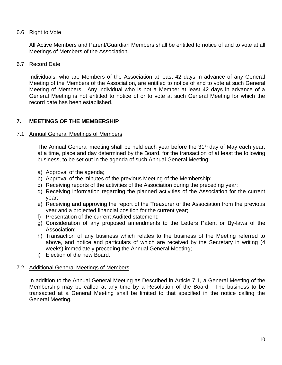# 6.6 Right to Vote

All Active Members and Parent/Guardian Members shall be entitled to notice of and to vote at all Meetings of Members of the Association.

## 6.7 Record Date

Individuals, who are Members of the Association at least 42 days in advance of any General Meeting of the Members of the Association, are entitled to notice of and to vote at such General Meeting of Members. Any individual who is not a Member at least 42 days in advance of a General Meeting is not entitled to notice of or to vote at such General Meeting for which the record date has been established.

# **7. MEETINGS OF THE MEMBERSHIP**

# 7.1 Annual General Meetings of Members

The Annual General meeting shall be held each year before the 31<sup>st</sup> day of May each year, at a time, place and day determined by the Board, for the transaction of at least the following business, to be set out in the agenda of such Annual General Meeting;

- a) Approval of the agenda;
- b) Approval of the minutes of the previous Meeting of the Membership;
- c) Receiving reports of the activities of the Association during the preceding year;
- d) Receiving information regarding the planned activities of the Association for the current year;
- e) Receiving and approving the report of the Treasurer of the Association from the previous year and a projected financial position for the current year;
- f) Presentation of the current Audited statement;
- g) Consideration of any proposed amendments to the Letters Patent or By-laws of the Association;
- h) Transaction of any business which relates to the business of the Meeting referred to above, and notice and particulars of which are received by the Secretary in writing (4 weeks) immediately preceding the Annual General Meeting;
- i) Election of the new Board.

# 7.2 Additional General Meetings of Members

In addition to the Annual General Meeting as Described in Article 7.1, a General Meeting of the Membership may be called at any time by a Resolution of the Board. The business to be transacted at a General Meeting shall be limited to that specified in the notice calling the General Meeting.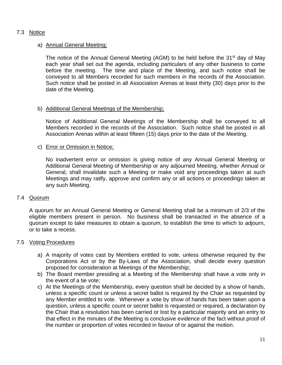# 7.3 Notice

## a) Annual General Meeting;

The notice of the Annual General Meeting (AGM) to be held before the 31<sup>st</sup> day of May each year shall set out the agenda, including particulars of any other business to come before the meeting. The time and place of the Meeting, and such notice shall be conveyed to all Members recorded for such members in the records of the Association. Such notice shall be posted in all Association Arenas at least thirty (30) days prior to the date of the Meeting.

# b) Additional General Meetings of the Membership;

Notice of Additional General Meetings of the Membership shall be conveyed to all Members recorded in the records of the Association. Such notice shall be posted in all Association Arenas within at least fifteen (15) days prior to the date of the Meeting.

# c) Error or Omission in Notice;

No inadvertent error or omission is giving notice of any Annual General Meeting or Additional General Meeting of Membership or any adjourned Meeting, whether Annual or General, shall invalidate such a Meeting or make void any proceedings taken at such Meetings and may ratify, approve and confirm any or all actions or proceedings taken at any such Meeting.

## 7.4 Quorum

A quorum for an Annual General Meeting or General Meeting shall be a minimum of 2/3 of the eligible members present in person. No business shall be transacted in the absence of a quorum except to take measures to obtain a quorum, to establish the time to which to adjourn, or to take a recess.

## 7.5 Voting Procedures

- a) A majority of votes cast by Members entitled to vote, unless otherwise required by the Corporations Act or by the By-Laws of the Association, shall decide every question proposed for consideration at Meetings of the Membership;
- b) The Board member presiding at a Meeting of the Membership shall have a vote only in the event of a tie vote;
- c) At the Meetings of the Membership, every question shall be decided by a show of hands, unless a specific count or unless a secret ballot is required by the Chair as requested by any Member entitled to vote. Whenever a vote by show of hands has been taken upon a question, unless a specific count or secret ballot is requested or required, a declaration by the Chair that a resolution has been carried or lost by a particular majority and an entry to that effect in the minutes of the Meeting is conclusive evidence of the fact without proof of the number or proportion of votes recorded in favour of or against the motion.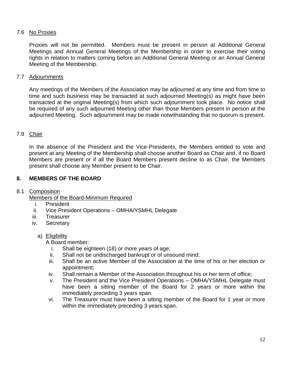# 7.6 No Proxies

Proxies will not be permitted. Members must be present in person at Additional General Meetings and Annual General Meetings of the Membership in order to exercise their voting rights in relation to matters coming before an Additional General Meeting or an Annual General Meeting of the Membership.

# 7.7 Adjournments

Any meetings of the Members of the Association may be adjourned at any time and from time to time and such business may be transacted at such adjourned Meeting(s) as might have been transacted at the original Meeting(s) from which such adjournment took place. No notice shall be required of any such adjourned Meeting other than those Members present in person at the adjourned Meeting. Such adjournment may be made notwithstanding that no quorum is present.

# 7.8 Chair

In the absence of the President and the Vice-Presidents, the Members entitled to vote and present at any Meeting of the Membership shall choose another Board as Chair and, if no Board Members are present or if all the Board Members present decline to as Chair, the Members present shall choose any Member present to be Chair.

# **8. MEMBERS OF THE BOARD**

## 8.1 Composition

Members of the Board-Minimum Required

- i. President
- ii. Vice President Operations OMHA/YSMHL Delegate
- iii. Treasurer
- iv. Secretary

## a) Eligibility

A Board member:

- i. Shall be eighteen (18) or more years of age;
- ii. Shall not be undischarged bankrupt or of unsound mind;
- iii. Shall be an active Member of the Association at the time of his or her election or appointment;
- iv. Shall remain a Member of the Association throughout his or her term of office;
- v. The President and the Vice President Operations OMHA/YSMHL Delegate must have been a sitting member of the Board for 2 years or more within the immediately preceding 3 years span.
- vi. The Treasurer must have been a sitting member of the Board for 1 year or more within the immediately preceding 3 years span.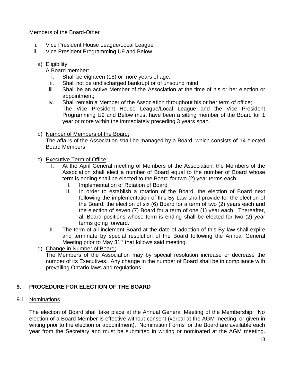# Members of the Board-Other

- i. Vice President House League/Local League
- ii. Vice President Programming U9 and Below

# a) Eligibility

A Board member:

- i. Shall be eighteen (18) or more years of age;
- ii. Shall not be undischarged bankrupt or of unsound mind;
- iii. Shall be an active Member of the Association at the time of his or her election or appointment;
- iv. Shall remain a Member of the Association throughout his or her term of office; The Vice President House League/Local League and the Vice President Programming U9 and Below must have been a sitting member of the Board for 1 year or more within the immediately preceding 3 years span.
- b) Number of Members of the Board;

The affairs of the Association shall be managed by a Board, which consists of 14 elected Board Members

# c) Executive Term of Office;

- I. At the April General meeting of Members of the Association, the Members of the Association shall elect a number of Board equal to the number of Board whose term is ending shall be elected to the Board for two (2) year terms each.
	- I. Implementation of Rotation of Board
	- II. In order to establish a rotation of the Board, the election of Board next following the implementation of this By-Law shall provide for the election of the Board; the election of six (6) Board for a term of two (2) years each and the election of seven (7) Board for a term of one (1) year each. Thereafter, all Board positions whose term is ending shall be elected for two (2) year terms going forward.
- II. The term of all inclement Board at the date of adoption of this By-law shall expire and terminate by special resolution of the Board following the Annual General Meeting prior to May  $31<sup>st</sup>$  that follows said meeting.
- d) Change in Number of Board;

The Members of the Association may by special resolution increase or decrease the number of its Executives. Any change in the number of Board shall be in compliance with prevailing Ontario laws and regulations.

# **9. PROCEDURE FOR ELECTION OF THE BOARD**

# 9.1 Nominations

The election of Board shall take place at the Annual General Meeting of the Membership. No election of a Board Member is effective without consent (verbal at the AGM meeting, or given in writing prior to the election or appointment). Nomination Forms for the Board are available each year from the Secretary and must be submitted in writing or nominated at the AGM meeting.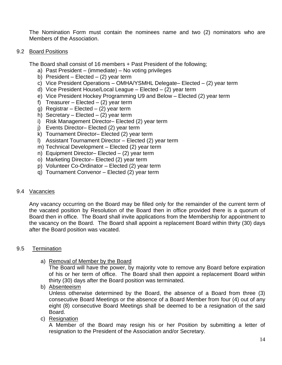The Nomination Form must contain the nominees name and two (2) nominators who are Members of the Association.

## 9.2 Board Positions

The Board shall consist of 16 members + Past President of the following;

- a) Past President (immediate) No voting privileges
- b) President Elected  $(2)$  year term
- c) Vice President Operations OMHA/YSMHL Delegate– Elected (2) year term
- d) Vice President House/Local League Elected (2) year term
- e) Vice President Hockey Programming U9 and Below Elected (2) year term
- f) Treasurer Elected  $(2)$  year term
- g) Registrar Elected  $(2)$  year term
- h) Secretary Elected  $(2)$  year term
- i) Risk Management Director– Elected (2) year term
- j) Events Director– Elected (2) year term
- k) Tournament Director– Elected (2) year term
- l) Assistant Tournament Director Elected (2) year term
- m) Technical Development Elected (2) year term
- n) Equipment Director– Elected (2) year term
- o) Marketing Director– Elected (2) year term
- p) Volunteer Co-Ordinator Elected (2) year term
- q) Tournament Convenor Elected (2) year term

# 9.4 Vacancies

Any vacancy occurring on the Board may be filled only for the remainder of the current term of the vacated position by Resolution of the Board then in office provided there is a quorum of Board then in office. The Board shall invite applications from the Membership for appointment to the vacancy on the Board. The Board shall appoint a replacement Board within thirty (30) days after the Board position was vacated.

# 9.5 Termination

a) Removal of Member by the Board

The Board will have the power, by majority vote to remove any Board before expiration of his or her term of office. The Board shall then appoint a replacement Board within thirty (30) days after the Board position was terminated.

b) Absenteeism

Unless otherwise determined by the Board, the absence of a Board from three (3) consecutive Board Meetings or the absence of a Board Member from four (4) out of any eight (8) consecutive Board Meetings shall be deemed to be a resignation of the said Board.

c) Resignation

A Member of the Board may resign his or her Position by submitting a letter of resignation to the President of the Association and/or Secretary.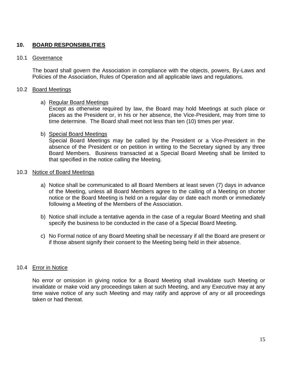# **10. BOARD RESPONSIBILITIES**

#### 10.1 Governance

The board shall govern the Association in compliance with the objects, powers, By-Laws and Policies of the Association, Rules of Operation and all applicable laws and regulations.

#### 10.2 Board Meetings

#### a) Regular Board Meetings

Except as otherwise required by law, the Board may hold Meetings at such place or places as the President or, in his or her absence, the Vice-President, may from time to time determine. The Board shall meet not less than ten (10) times per year.

#### b) Special Board Meetings

Special Board Meetings may be called by the President or a Vice-President in the absence of the President or on petition in writing to the Secretary signed by any three Board Members. Business transacted at a Special Board Meeting shall be limited to that specified in the notice calling the Meeting.

#### 10.3 Notice of Board Meetings

- a) Notice shall be communicated to all Board Members at least seven (7) days in advance of the Meeting, unless all Board Members agree to the calling of a Meeting on shorter notice or the Board Meeting is held on a regular day or date each month or immediately following a Meeting of the Members of the Association.
- b) Notice shall include a tentative agenda in the case of a regular Board Meeting and shall specify the business to be conducted in the case of a Special Board Meeting.
- c) No Formal notice of any Board Meeting shall be necessary if all the Board are present or if those absent signify their consent to the Meeting being held in their absence.

## 10.4 Error in Notice

No error or omission in giving notice for a Board Meeting shall invalidate such Meeting or invalidate or make void any proceedings taken at such Meeting, and any Executive may at any time waive notice of any such Meeting and may ratify and approve of any or all proceedings taken or had thereat.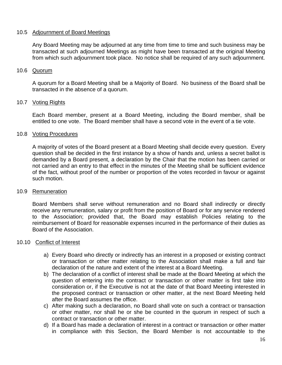## 10.5 Adjournment of Board Meetings

Any Board Meeting may be adjourned at any time from time to time and such business may be transacted at such adjourned Meetings as might have been transacted at the original Meeting from which such adjournment took place. No notice shall be required of any such adjournment.

## 10.6 Quorum

A quorum for a Board Meeting shall be a Majority of Board. No business of the Board shall be transacted in the absence of a quorum.

# 10.7 Voting Rights

Each Board member, present at a Board Meeting, including the Board member, shall be entitled to one vote. The Board member shall have a second vote in the event of a tie vote.

# 10.8 Voting Procedures

A majority of votes of the Board present at a Board Meeting shall decide every question. Every question shall be decided in the first instance by a show of hands and, unless a secret ballot is demanded by a Board present, a declaration by the Chair that the motion has been carried or not carried and an entry to that effect in the minutes of the Meeting shall be sufficient evidence of the fact, without proof of the number or proportion of the votes recorded in favour or against such motion.

## 10.9 Remuneration

Board Members shall serve without remuneration and no Board shall indirectly or directly receive any remuneration, salary or profit from the position of Board or for any service rendered to the Association; provided that, the Board may establish Policies relating to the reimbursement of Board for reasonable expenses incurred in the performance of their duties as Board of the Association.

## 10.10 Conflict of Interest

- a) Every Board who directly or indirectly has an interest in a proposed or existing contract or transaction or other matter relating to the Association shall make a full and fair declaration of the nature and extent of the interest at a Board Meeting.
- b) The declaration of a conflict of interest shall be made at the Board Meeting at which the question of entering into the contract or transaction or other matter is first take into consideration or, if the Executive is not at the date of that Board Meeting interested in the proposed contract or transaction or other matter, at the next Board Meeting held after the Board assumes the office.
- c) After making such a declaration, no Board shall vote on such a contract or transaction or other matter, nor shall he or she be counted in the quorum in respect of such a contract or transaction or other matter.
- d) If a Board has made a declaration of interest in a contract or transaction or other matter in compliance with this Section, the Board Member is not accountable to the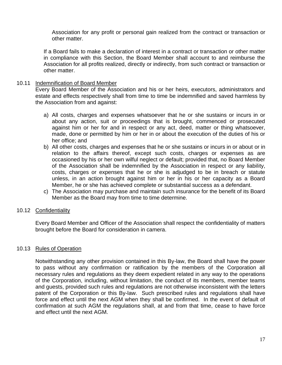Association for any profit or personal gain realized from the contract or transaction or other matter.

If a Board fails to make a declaration of interest in a contract or transaction or other matter in compliance with this Section, the Board Member shall account to and reimburse the Association for all profits realized, directly or indirectly, from such contract or transaction or other matter.

## 10.11 Indemnification of Board Member

Every Board Member of the Association and his or her heirs, executors, administrators and estate and effects respectively shall from time to time be indemnified and saved harmless by the Association from and against:

- a) All costs, charges and expenses whatsoever that he or she sustains or incurs in or about any action, suit or proceedings that is brought, commenced or prosecuted against him or her for and in respect or any act, deed, matter or thing whatsoever, made, done or permitted by him or her in or about the execution of the duties of his or her office; and
- b) All other costs, charges and expenses that he or she sustains or incurs in or about or in relation to the affairs thereof, except such costs, charges or expenses as are occasioned by his or her own wilful neglect or default; provided that, no Board Member of the Association shall be indemnified by the Association in respect or any liability, costs, charges or expenses that he or she is adjudged to be in breach or statute unless, in an action brought against him or her in his or her capacity as a Board Member, he or she has achieved complete or substantial success as a defendant.
- c) The Association may purchase and maintain such insurance for the benefit of its Board Member as the Board may from time to time determine.

## 10.12 Confidentiality

Every Board Member and Officer of the Association shall respect the confidentiality of matters brought before the Board for consideration in camera.

## 10.13 Rules of Operation

Notwithstanding any other provision contained in this By-law, the Board shall have the power to pass without any confirmation or ratification by the members of the Corporation all necessary rules and regulations as they deem expedient related in any way to the operations of the Corporation, including, without limitation, the conduct of its members, member teams and guests, provided such rules and regulations are not otherwise inconsistent with the letters patent of the Corporation or this By-law. Such prescribed rules and regulations shall have force and effect until the next AGM when they shall be confirmed. In the event of default of confirmation at such AGM the regulations shall, at and from that time, cease to have force and effect until the next AGM.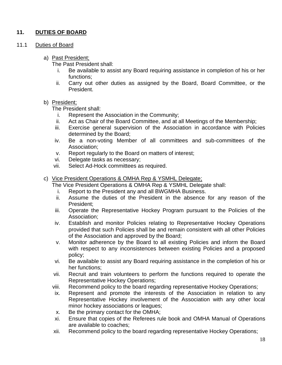# **11. DUTIES OF BOARD**

11.1 Duties of Board

# a) Past President;

The Past President shall:

- i. Be available to assist any Board requiring assistance in completion of his or her functions;
- ii. Carry out other duties as assigned by the Board, Board Committee, or the President.

## b) President;

The President shall:

- i. Represent the Association in the Community;
- ii. Act as Chair of the Board Committee, and at all Meetings of the Membership;
- iii. Exercise general supervision of the Association in accordance with Policies determined by the Board;
- iv. Be a non-voting Member of all committees and sub-committees of the Association;
- v. Report regularly to the Board on matters of interest;
- vi. Delegate tasks as necessary;
- vii. Select Ad-Hock committees as required.

# c) Vice President Operations & OMHA Rep & YSMHL Delegate;

The Vice President Operations & OMHA Rep & YSMHL Delegate shall:

- i. Report to the President any and all BWGMHA Business.
- ii. Assume the duties of the President in the absence for any reason of the President;
- iii. Operate the Representative Hockey Program pursuant to the Policies of the Association;
- iv. Establish and monitor Policies relating to Representative Hockey Operations provided that such Policies shall be and remain consistent with all other Policies of the Association and approved by the Board;
- v. Monitor adherence by the Board to all existing Policies and inform the Board with respect to any inconsistences between existing Policies and a proposed policy;
- vi. Be available to assist any Board requiring assistance in the completion of his or her functions;
- vii. Recruit and train volunteers to perform the functions required to operate the Representative Hockey Operations;
- viii. Recommend policy to the board regarding representative Hockey Operations;
- ix. Represent and promote the interests of the Association in relation to any Representative Hockey involvement of the Association with any other local minor hockey associations or leagues;
- x. Be the primary contact for the OMHA;
- xi. Ensure that copies of the Referees rule book and OMHA Manual of Operations are available to coaches;
- xii. Recommend policy to the board regarding representative Hockey Operations;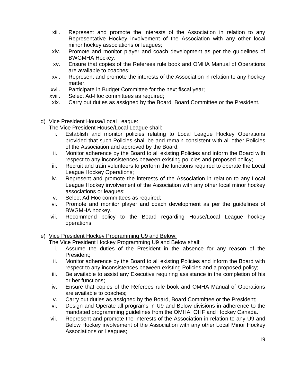- xiii. Represent and promote the interests of the Association in relation to any Representative Hockey involvement of the Association with any other local minor hockey associations or leagues;
- xiv. Promote and monitor player and coach development as per the guidelines of BWGMHA Hockey;
- xv. Ensure that copies of the Referees rule book and OMHA Manual of Operations are available to coaches;
- xvi. Represent and promote the interests of the Association in relation to any hockey matter.
- xvii. Participate in Budget Committee for the next fiscal year;
- xviii. Select Ad-Hoc committees as required;
- xix. Carry out duties as assigned by the Board, Board Committee or the President.
- d) Vice President House/Local League:

The Vice President House/Local League shall:

- i. Establish and monitor policies relating to Local League Hockey Operations provided that such Policies shall be and remain consistent with all other Policies of the Association and approved by the Board;
- ii. Monitor adherence by the Board to all existing Policies and inform the Board with respect to any inconsistences between existing policies and proposed policy;
- iii. Recruit and train volunteers to perform the functions required to operate the Local League Hockey Operations;
- iv. Represent and promote the interests of the Association in relation to any Local League Hockey involvement of the Association with any other local minor hockey associations or leagues;
- v. Select Ad-Hoc committees as required;
- vi. Promote and monitor player and coach development as per the guidelines of BWGMHA hockey.
- vii. Recommend policy to the Board regarding House/Local League hockey operations;
- e) Vice President Hockey Programming U9 and Below;

The Vice President Hockey Programming U9 and Below shall:

- i. Assume the duties of the President in the absence for any reason of the President;
- ii. Monitor adherence by the Board to all existing Policies and inform the Board with respect to any inconsistences between existing Policies and a proposed policy;
- iii. Be available to assist any Executive requiring assistance in the completion of his or her functions;
- iv. Ensure that copies of the Referees rule book and OMHA Manual of Operations are available to coaches;
- v. Carry out duties as assigned by the Board, Board Committee or the President;
- vi. Design and Operate all programs in U9 and Below divisions in adherence to the mandated programming guidelines from the OMHA, OHF and Hockey Canada.
- vii. Represent and promote the interests of the Association in relation to any U9 and Below Hockey involvement of the Association with any other Local Minor Hockey Associations or Leagues;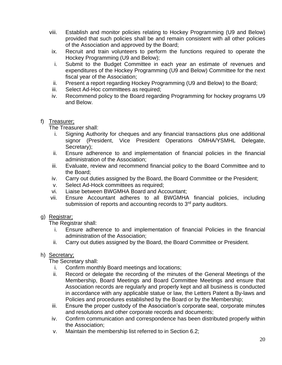- viii. Establish and monitor policies relating to Hockey Programming (U9 and Below) provided that such policies shall be and remain consistent with all other policies of the Association and approved by the Board;
- ix. Recruit and train volunteers to perform the functions required to operate the Hockey Programming (U9 and Below);
- i. Submit to the Budget Committee in each year an estimate of revenues and expenditures of the Hockey Programming (U9 and Below) Committee for the next fiscal year of the Association;
- ii. Present a report regarding Hockey Programming (U9 and Below) to the Board;
- iii. Select Ad-Hoc committees as required;
- iv. Recommend policy to the Board regarding Programming for hockey programs U9 and Below.

# f) Treasurer;

The Treasurer shall:

- i. Signing Authority for cheques and any financial transactions plus one additional signor (President, Vice President Operations OMHA/YSMHL Delegate, Secretary);
- ii. Ensure adherence to and implementation of financial policies in the financial administration of the Association;
- iii. Evaluate, review and recommend financial policy to the Board Committee and to the Board;
- iv. Carry out duties assigned by the Board, the Board Committee or the President;
- v. Select Ad-Hock committees as required;
- vi. Liaise between BWGMHA Board and Accountant;
- vii. Ensure Accountant adheres to all BWGMHA financial policies, including submission of reports and accounting records to 3<sup>rd</sup> party auditors.
- g) Registrar;

The Registrar shall:

- i. Ensure adherence to and implementation of financial Policies in the financial administration of the Association;
- ii. Carry out duties assigned by the Board, the Board Committee or President.

# h) Secretary;

The Secretary shall:

- i. Confirm monthly Board meetings and locations;
- ii. Record or delegate the recording of the minutes of the General Meetings of the Membership, Board Meetings and Board Committee Meetings and ensure that Association records are regularly and properly kept and all business is conducted in accordance with any applicable statue or law, the Letters Patent a By-laws and Policies and procedures established by the Board or by the Membership;
- iii. Ensure the proper custody of the Association's corporate seal, corporate minutes and resolutions and other corporate records and documents;
- iv. Confirm communication and correspondence has been distributed properly within the Association;
- v. Maintain the membership list referred to in Section 6.2;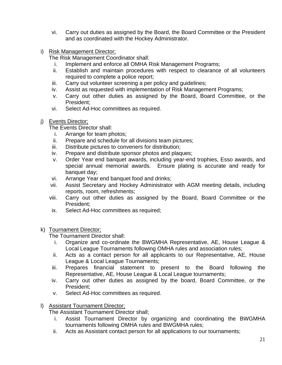- vi. Carry out duties as assigned by the Board, the Board Committee or the President and as coordinated with the Hockey Administrator.
- i) Risk Management Director;

The Risk Management Coordinator shall:

- i. Implement and enforce all OMHA Risk Management Programs;
- ii. Establish and maintain procedures with respect to clearance of all volunteers required to complete a police report;
- iii. Carry out volunteer screening a per policy and guidelines;
- iv. Assist as requested with implementation of Risk Management Programs;
- v. Carry out other duties as assigned by the Board, Board Committee, or the President;
- vi. Select Ad-Hoc committees as required.
- j) Events Director;
	- The Events Director shall:
		- i. Arrange for team photos;
		- ii. Prepare and schedule for all divisions team pictures;
	- iii. Distribute pictures to conveners for distribution;
	- iv. Prepare and distribute sponsor photos and plaques;
	- v. Order Year end banquet awards, including year-end trophies, Esso awards, and special annual memorial awards. Ensure plating is accurate and ready for banquet day;
	- vi. Arrange Year end banquet food and drinks;
	- vii. Assist Secretary and Hockey Administrator with AGM meeting details, including reports, room, refreshments;
	- viii. Carry out other duties as assigned by the Board, Board Committee or the President;
	- ix. Select Ad-Hoc committees as required;
- k) Tournament Director;

The Tournament Director shall:

- i. Organize and co-ordinate the BWGMHA Representative, AE, House League & Local League Tournaments following OMHA rules and association rules;
- ii. Acts as a contact person for all applicants to our Representative, AE, House League & Local League Tournaments;
- iii. Prepares financial statement to present to the Board following the Representative, AE, House League & Local League tournaments;
- iv. Carry out other duties as assigned by the board, Board Committee, or the President;
- v. Select Ad-Hoc committees as required.
- l) Assistant Tournament Director;

The Assistant Tournament Director shall;

- i. Assist Tournament Director by organizing and coordinating the BWGMHA tournaments following OMHA rules and BWGMHA rules;
- ii. Acts as Assistant contact person for all applications to our tournaments;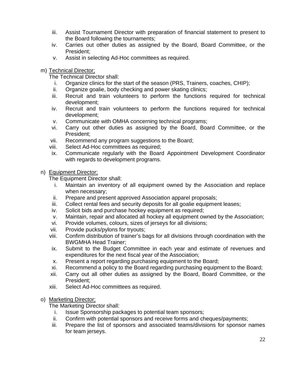- iii. Assist Tournament Director with preparation of financial statement to present to the Board following the tournaments;
- iv. Carries out other duties as assigned by the Board, Board Committee, or the President;
- v. Assist in selecting Ad-Hoc committees as required.
- m) Technical Director;

The Technical Director shall:

- i. Organize clinics for the start of the season (PRS, Trainers, coaches, CHIP);
- ii. Organize goalie, body checking and power skating clinics;
- iii. Recruit and train volunteers to perform the functions required for technical development;
- iv. Recruit and train volunteers to perform the functions required for technical development;
- v. Communicate with OMHA concerning technical programs;
- vi. Carry out other duties as assigned by the Board, Board Committee, or the President;
- vii. Recommend any program suggestions to the Board;
- viii. Select Ad-Hoc committees as required;
- ix. Communicate regularly with the Board Appointment Development Coordinator with regards to development programs.

# n) Equipment Director;

The Equipment Director shall:

- i. Maintain an inventory of all equipment owned by the Association and replace when necessary;
- ii. Prepare and present approved Association apparel proposals;
- iii. Collect rental fees and security deposits for all goalie equipment leases;
- iv. Solicit bids and purchase hockey equipment as required;
- v. Maintain, repair and allocated all hockey all equipment owned by the Association;
- vi. Provide volumes, colours, sizes of jerseys for all divisions;
- vii. Provide pucks/pylons for tryouts;
- viii. Confirm distribution of trainer's bags for all divisions through coordination with the BWGMHA Head Trainer;
- ix. Submit to the Budget Committee in each year and estimate of revenues and expenditures for the next fiscal year of the Association;
- x. Present a report regarding purchasing equipment to the Board;
- xi. Recommend a policy to the Board regarding purchasing equipment to the Board;
- xii. Carry out all other duties as assigned by the Board, Board Committee, or the President;
- xiii. Select Ad-Hoc committees as required.
- o) Marketing Director;

The Marketing Director shall:

- i. Issue Sponsorship packages to potential team sponsors;
- ii. Confirm with potential sponsors and receive forms and cheques/payments;
- iii. Prepare the list of sponsors and associated teams/divisions for sponsor names for team jerseys.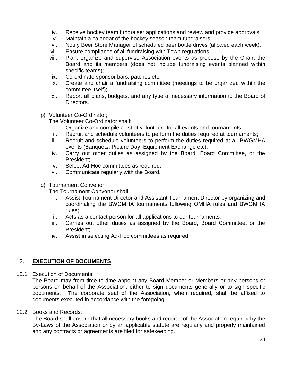- iv. Receive hockey team fundraiser applications and review and provide approvals;
- v. Maintain a calendar of the hockey season team fundraisers;
- vi. Notify Beer Store Manager of scheduled beer bottle drives (allowed each week).
- vii. Ensure compliance of all fundraising with Town regulations;
- viii. Plan, organize and supervise Association events as propose by the Chair, the Board and its members (does not include fundraising events planned within specific teams);
- ix. Co-ordinate sponsor bars, patches etc.
- x. Create and chair a fundraising committee (meetings to be organized within the committee itself);
- xi. Report all plans, budgets, and any type of necessary information to the Board of Directors.
- p) Volunteer Co-Ordinator;

The Volunteer Co-Ordinator shall:

- i. Organize and compile a list of volunteers for all events and tournaments;
- ii. Recruit and schedule volunteers to perform the duties required at tournaments;
- iii. Recruit and schedule volunteers to perform the duties required at all BWGMHA events (Banquets, Picture Day, Equipment Exchange etc);
- iv. Carry out other duties as assigned by the Board, Board Committee, or the President;
- v. Select Ad-Hoc committees as required;
- vi. Communicate regularly with the Board.

# q) Tournament Convenor;

The Tournament Convenor shall:

- i. Assist Tournament Director and Assistant Tournament Director by organizing and coordinating the BWGMHA tournaments following OMHA rules and BWGMHA rules;
- ii. Acts as a contact person for all applications to our tournaments;
- iii. Carries out other duties as assigned by the Board, Board Committee, or the President;
- iv. Assist in selecting Ad-Hoc committees as required.

# 12. **EXECUTION OF DOCUMENTS**

# 12.1 Execution of Documents:

The Board may from time to time appoint any Board Member or Members or any persons or persons on behalf of the Association, either to sign documents generally or to sign specific documents. The corporate seal of the Association, when required, shall be affixed to documents executed in accordance with the foregoing.

# 12.2 Books and Records:

The Board shall ensure that all necessary books and records of the Association required by the By-Laws of the Association or by an applicable statute are regularly and properly maintained and any contracts or agreements are filed for safekeeping.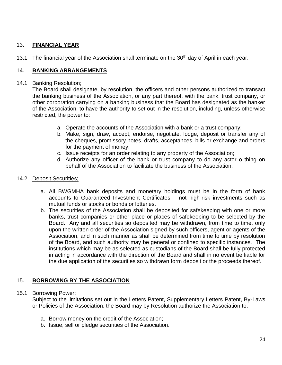# 13. **FINANCIAL YEAR**

13.1 The financial year of the Association shall terminate on the 30<sup>th</sup> day of April in each year.

# 14. **BANKING ARRANGEMENTS**

## 14.1 Banking Resolution;

The Board shall designate, by resolution, the officers and other persons authorized to transact the banking business of the Association, or any part thereof, with the bank, trust company, or other corporation carrying on a banking business that the Board has designated as the banker of the Association, to have the authority to set out in the resolution, including, unless otherwise restricted, the power to:

- a. Operate the accounts of the Association with a bank or a trust company;
- b. Make, sign, draw, accept, endorse, negotiate, lodge, deposit or transfer any of the cheques, promissory notes, drafts, acceptances, bills or exchange and orders for the payment of money;
- c. Issue receipts for an order relating to any property of the Association;
- d. Authorize any officer of the bank or trust company to do any actor o thing on behalf of the Association to facilitate the business of the Association.

## 14.2 Deposit Securities;

- a. All BWGMHA bank deposits and monetary holdings must be in the form of bank accounts to Guaranteed Investment Certificates – not high-risk investments such as mutual funds or stocks or bonds or lotteries.
- b. The securities of the Association shall be deposited for safekeeping with one or more banks, trust companies or other place or places of safekeeping to be selected by the Board. Any and all securities so deposited may be withdrawn, from time to time, only upon the written order of the Association signed by such officers, agent or agents of the Association, and in such manner as shall be determined from time to time by resolution of the Board, and such authority may be general or confined to specific instances. The institutions which may be as selected as custodians of the Board shall be fully protected in acting in accordance with the direction of the Board and shall in no event be liable for the due application of the securities so withdrawn form deposit or the proceeds thereof.

# 15. **BORROWING BY THE ASSOCIATION**

## 15.1 Borrowing Power;

Subject to the limitations set out in the Letters Patent, Supplementary Letters Patent, By-Laws or Policies of the Association, the Board may by Resolution authorize the Association to:

- a. Borrow money on the credit of the Association;
- b. Issue, sell or pledge securities of the Association.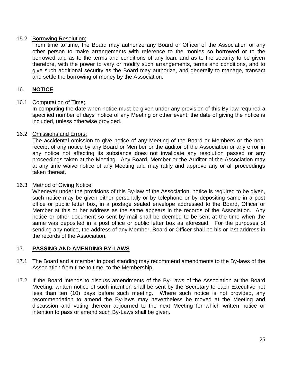## 15.2 Borrowing Resolution;

From time to time, the Board may authorize any Board or Officer of the Association or any other person to make arrangements with reference to the monies so borrowed or to the borrowed and as to the terms and conditions of any loan, and as to the security to be given therefore, with the power to vary or modify such arrangements, terms and conditions, and to give such additional security as the Board may authorize, and generally to manage, transact and settle the borrowing of money by the Association.

# 16. **NOTICE**

## 16.1 Computation of Time;

In computing the date when notice must be given under any provision of this By-law required a specified number of days' notice of any Meeting or other event, the date of giving the notice is included, unless otherwise provided.

# 16.2 Omissions and Errors;

The accidental omission to give notice of any Meeting of the Board or Members or the nonreceipt of any notice by any Board or Member or the auditor of the Association or any error in any notice not affecting its substance does not invalidate any resolution passed or any proceedings taken at the Meeting. Any Board, Member or the Auditor of the Association may at any time waive notice of any Meeting and may ratify and approve any or all proceedings taken thereat.

## 16.3 Method of Giving Notice;

Whenever under the provisions of this By-law of the Association, notice is required to be given, such notice may be given either personally or by telephone or by depositing same in a post office or public letter box, in a postage sealed envelope addressed to the Board, Officer or Member at this or her address as the same appears in the records of the Association. Any notice or other document so sent by mail shall be deemed to be sent at the time when the same was deposited in a post office or public letter box as aforesaid. For the purposes of sending any notice, the address of any Member, Board or Officer shall be his or last address in the records of the Association.

## 17. **PASSING AND AMENDING BY-LAWS**

- 17.1 The Board and a member in good standing may recommend amendments to the By-laws of the Association from time to time, to the Membership.
- 17.2 If the Board intends to discuss amendments of the By-Laws of the Association at the Board Meeting, written notice of such intention shall be sent by the Secretary to each Executive not less than ten (10) days before such meeting. Where such notice is not provided, any recommendation to amend the By-laws may nevertheless be moved at the Meeting and discussion and voting thereon adjourned to the next Meeting for which written notice or intention to pass or amend such By-Laws shall be given.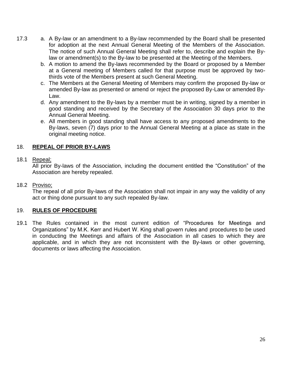- 17.3 a. A By-law or an amendment to a By-law recommended by the Board shall be presented for adoption at the next Annual General Meeting of the Members of the Association. The notice of such Annual General Meeting shall refer to, describe and explain the Bylaw or amendment(s) to the By-law to be presented at the Meeting of the Members.
	- b. A motion to amend the By-laws recommended by the Board or proposed by a Member at a General meeting of Members called for that purpose must be approved by twothirds vote of the Members present at such General Meeting.
	- c. The Members at the General Meeting of Members may confirm the proposed By-law or amended By-law as presented or amend or reject the proposed By-Law or amended By-Law.
	- d. Any amendment to the By-laws by a member must be in writing, signed by a member in good standing and received by the Secretary of the Association 30 days prior to the Annual General Meeting.
	- e. All members in good standing shall have access to any proposed amendments to the By-laws, seven (7) days prior to the Annual General Meeting at a place as state in the original meeting notice.

# 18. **REPEAL OF PRIOR BY-LAWS**

# 18.1 Repeal;

All prior By-laws of the Association, including the document entitled the "Constitution" of the Association are hereby repealed.

# 18.2 Proviso;

The repeal of all prior By-laws of the Association shall not impair in any way the validity of any act or thing done pursuant to any such repealed By-law.

# 19. **RULES OF PROCEDURE**

19.1 The Rules contained in the most current edition of "Procedures for Meetings and Organizations" by M.K. Kerr and Hubert W. King shall govern rules and procedures to be used in conducting the Meetings and affairs of the Association in all cases to which they are applicable, and in which they are not inconsistent with the By-laws or other governing, documents or laws affecting the Association.